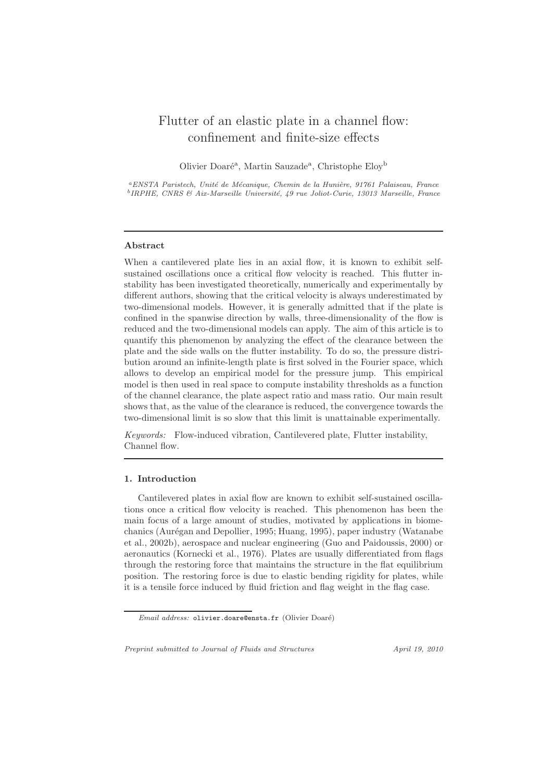# Flutter of an elastic plate in a channel flow: confinement and finite-size effects

Olivier Doaré<sup>a</sup>, Martin Sauzade<sup>a</sup>, Christophe Eloy<sup>b</sup>

<sup>a</sup>ENSTA Paristech, Unité de Mécanique, Chemin de la Hunière, 91761 Palaiseau, France <sup>b</sup>IRPHE, CNRS & Aix-Marseille Université, 49 rue Joliot-Curie, 13013 Marseille, France

## Abstract

When a cantilevered plate lies in an axial flow, it is known to exhibit selfsustained oscillations once a critical flow velocity is reached. This flutter instability has been investigated theoretically, numerically and experimentally by different authors, showing that the critical velocity is always underestimated by two-dimensional models. However, it is generally admitted that if the plate is confined in the spanwise direction by walls, three-dimensionality of the flow is reduced and the two-dimensional models can apply. The aim of this article is to quantify this phenomenon by analyzing the effect of the clearance between the plate and the side walls on the flutter instability. To do so, the pressure distribution around an infinite-length plate is first solved in the Fourier space, which allows to develop an empirical model for the pressure jump. This empirical model is then used in real space to compute instability thresholds as a function of the channel clearance, the plate aspect ratio and mass ratio. Our main result shows that, as the value of the clearance is reduced, the convergence towards the two-dimensional limit is so slow that this limit is unattainable experimentally.

*Keywords:* Flow-induced vibration, Cantilevered plate, Flutter instability, Channel flow.

## 1. Introduction

Cantilevered plates in axial flow are known to exhibit self-sustained oscillations once a critical flow velocity is reached. This phenomenon has been the main focus of a large amount of studies, motivated by applications in biomechanics (Aurégan and Depollier, 1995; Huang, 1995), paper industry (Watanabe et al., 2002b), aerospace and nuclear engineering (Guo and Paidoussis, 2000) or aeronautics (Kornecki et al., 1976). Plates are usually differentiated from flags through the restoring force that maintains the structure in the flat equilibrium position. The restoring force is due to elastic bending rigidity for plates, while it is a tensile force induced by fluid friction and flag weight in the flag case.

Preprint submitted to Journal of Fluids and Structures April 19, 2010

Email address: olivier.doare@ensta.fr (Olivier Doaré)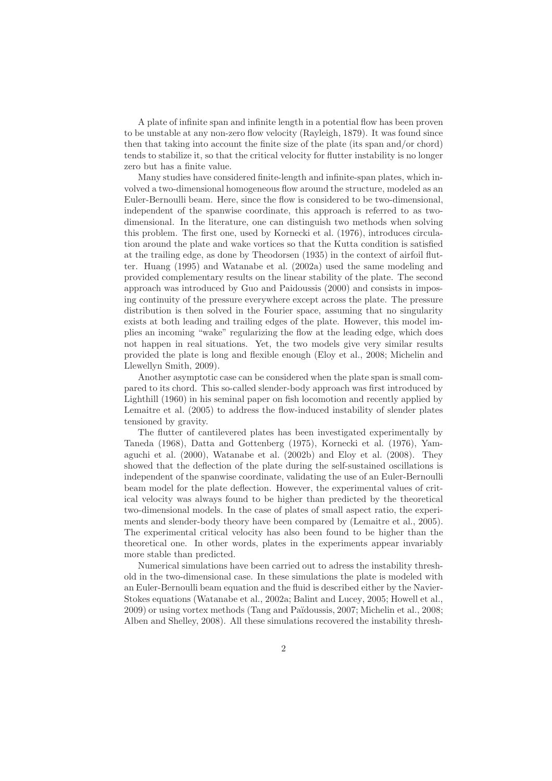A plate of infinite span and infinite length in a potential flow has been proven to be unstable at any non-zero flow velocity (Rayleigh, 1879). It was found since then that taking into account the finite size of the plate (its span and/or chord) tends to stabilize it, so that the critical velocity for flutter instability is no longer zero but has a finite value.

Many studies have considered finite-length and infinite-span plates, which involved a two-dimensional homogeneous flow around the structure, modeled as an Euler-Bernoulli beam. Here, since the flow is considered to be two-dimensional, independent of the spanwise coordinate, this approach is referred to as twodimensional. In the literature, one can distinguish two methods when solving this problem. The first one, used by Kornecki et al. (1976), introduces circulation around the plate and wake vortices so that the Kutta condition is satisfied at the trailing edge, as done by Theodorsen (1935) in the context of airfoil flutter. Huang (1995) and Watanabe et al. (2002a) used the same modeling and provided complementary results on the linear stability of the plate. The second approach was introduced by Guo and Paidoussis (2000) and consists in imposing continuity of the pressure everywhere except across the plate. The pressure distribution is then solved in the Fourier space, assuming that no singularity exists at both leading and trailing edges of the plate. However, this model implies an incoming "wake" regularizing the flow at the leading edge, which does not happen in real situations. Yet, the two models give very similar results provided the plate is long and flexible enough (Eloy et al., 2008; Michelin and Llewellyn Smith, 2009).

Another asymptotic case can be considered when the plate span is small compared to its chord. This so-called slender-body approach was first introduced by Lighthill (1960) in his seminal paper on fish locomotion and recently applied by Lemaitre et al. (2005) to address the flow-induced instability of slender plates tensioned by gravity.

The flutter of cantilevered plates has been investigated experimentally by Taneda (1968), Datta and Gottenberg (1975), Kornecki et al. (1976), Yamaguchi et al. (2000), Watanabe et al. (2002b) and Eloy et al. (2008). They showed that the deflection of the plate during the self-sustained oscillations is independent of the spanwise coordinate, validating the use of an Euler-Bernoulli beam model for the plate deflection. However, the experimental values of critical velocity was always found to be higher than predicted by the theoretical two-dimensional models. In the case of plates of small aspect ratio, the experiments and slender-body theory have been compared by (Lemaitre et al., 2005). The experimental critical velocity has also been found to be higher than the theoretical one. In other words, plates in the experiments appear invariably more stable than predicted.

Numerical simulations have been carried out to adress the instability threshold in the two-dimensional case. In these simulations the plate is modeled with an Euler-Bernoulli beam equation and the fluid is described either by the Navier-Stokes equations (Watanabe et al., 2002a; Balint and Lucey, 2005; Howell et al., 2009) or using vortex methods (Tang and Pa¨ıdoussis, 2007; Michelin et al., 2008; Alben and Shelley, 2008). All these simulations recovered the instability thresh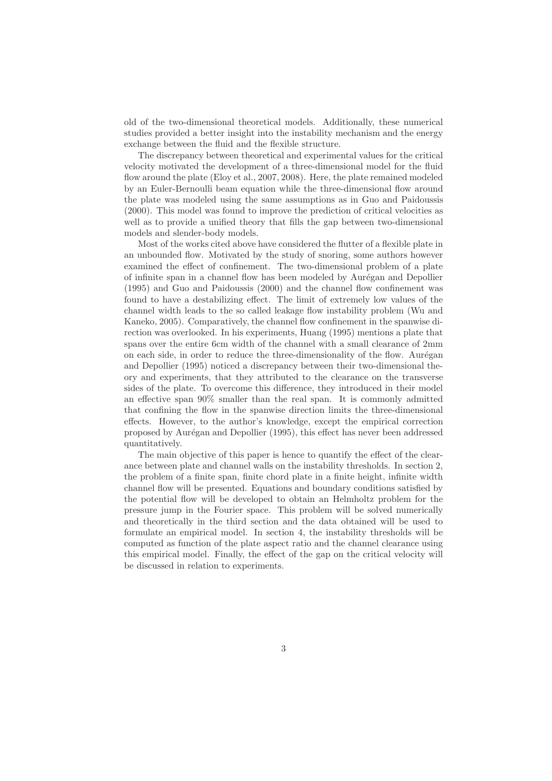old of the two-dimensional theoretical models. Additionally, these numerical studies provided a better insight into the instability mechanism and the energy exchange between the fluid and the flexible structure.

The discrepancy between theoretical and experimental values for the critical velocity motivated the development of a three-dimensional model for the fluid flow around the plate (Eloy et al., 2007, 2008). Here, the plate remained modeled by an Euler-Bernoulli beam equation while the three-dimensional flow around the plate was modeled using the same assumptions as in Guo and Paidoussis (2000). This model was found to improve the prediction of critical velocities as well as to provide a unified theory that fills the gap between two-dimensional models and slender-body models.

Most of the works cited above have considered the flutter of a flexible plate in an unbounded flow. Motivated by the study of snoring, some authors however examined the effect of confinement. The two-dimensional problem of a plate of infinite span in a channel flow has been modeled by Aurégan and Depollier (1995) and Guo and Paidoussis (2000) and the channel flow confinement was found to have a destabilizing effect. The limit of extremely low values of the channel width leads to the so called leakage flow instability problem (Wu and Kaneko, 2005). Comparatively, the channel flow confinement in the spanwise direction was overlooked. In his experiments, Huang (1995) mentions a plate that spans over the entire 6cm width of the channel with a small clearance of 2mm on each side, in order to reduce the three-dimensionality of the flow. Aurégan and Depollier (1995) noticed a discrepancy between their two-dimensional theory and experiments, that they attributed to the clearance on the transverse sides of the plate. To overcome this difference, they introduced in their model an effective span 90% smaller than the real span. It is commonly admitted that confining the flow in the spanwise direction limits the three-dimensional effects. However, to the author's knowledge, except the empirical correction proposed by Aur´egan and Depollier (1995), this effect has never been addressed quantitatively.

The main objective of this paper is hence to quantify the effect of the clearance between plate and channel walls on the instability thresholds. In section 2, the problem of a finite span, finite chord plate in a finite height, infinite width channel flow will be presented. Equations and boundary conditions satisfied by the potential flow will be developed to obtain an Helmholtz problem for the pressure jump in the Fourier space. This problem will be solved numerically and theoretically in the third section and the data obtained will be used to formulate an empirical model. In section 4, the instability thresholds will be computed as function of the plate aspect ratio and the channel clearance using this empirical model. Finally, the effect of the gap on the critical velocity will be discussed in relation to experiments.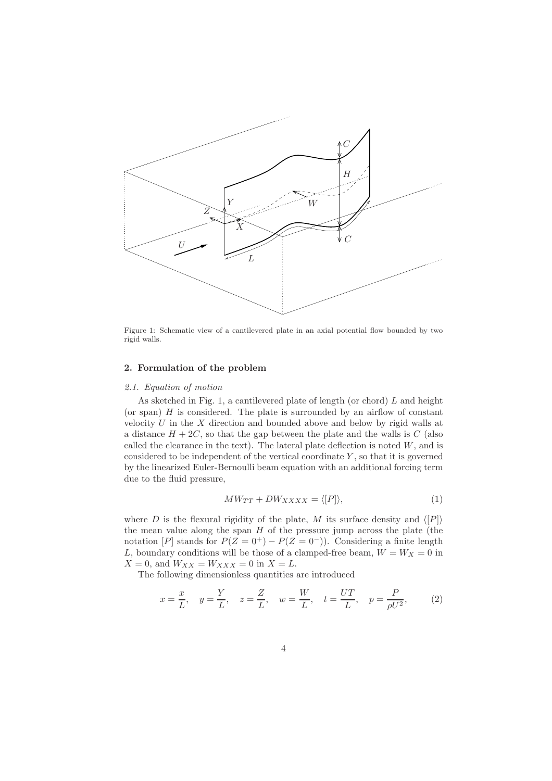

Figure 1: Schematic view of a cantilevered plate in an axial potential flow bounded by two rigid walls.

## 2. Formulation of the problem

## *2.1. Equation of motion*

As sketched in Fig. 1, a cantilevered plate of length (or chord)  $L$  and height (or span)  $H$  is considered. The plate is surrounded by an airflow of constant velocity  $U$  in the  $X$  direction and bounded above and below by rigid walls at a distance  $H + 2C$ , so that the gap between the plate and the walls is C (also called the clearance in the text). The lateral plate deflection is noted  $W$ , and is considered to be independent of the vertical coordinate  $Y$ , so that it is governed by the linearized Euler-Bernoulli beam equation with an additional forcing term due to the fluid pressure,

$$
MW_{TT} + DW_{XXXX} = \langle [P] \rangle, \tag{1}
$$

where D is the flexural rigidity of the plate, M its surface density and  $\langle P \rangle$ the mean value along the span  $H$  of the pressure jump across the plate (the notation [P] stands for  $P(Z = 0^+) - P(Z = 0^-)$ ). Considering a finite length L, boundary conditions will be those of a clamped-free beam,  $W = W_X = 0$  in  $X = 0$ , and  $W_{XX} = W_{XXX} = 0$  in  $X = L$ .

The following dimensionless quantities are introduced

$$
x = \frac{x}{L}
$$
,  $y = \frac{Y}{L}$ ,  $z = \frac{Z}{L}$ ,  $w = \frac{W}{L}$ ,  $t = \frac{UT}{L}$ ,  $p = \frac{P}{\rho U^2}$ , (2)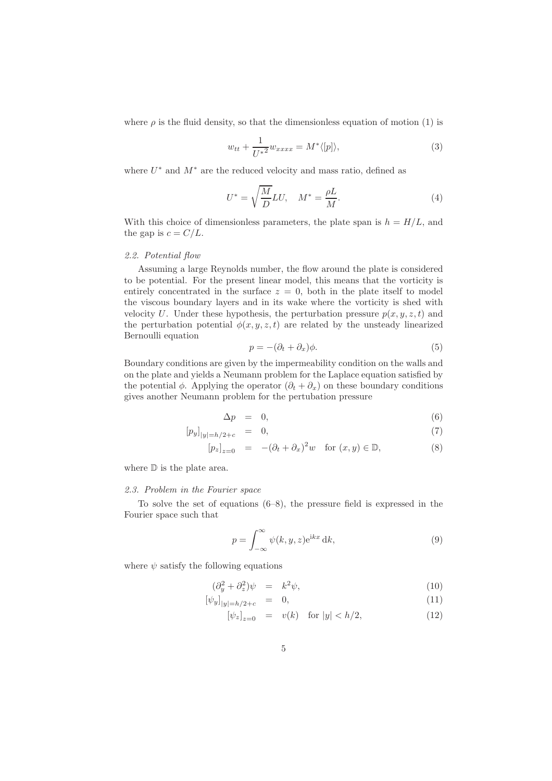where  $\rho$  is the fluid density, so that the dimensionless equation of motion (1) is

$$
w_{tt} + \frac{1}{U^{*2}} w_{xxxx} = M^* \langle [p] \rangle, \tag{3}
$$

where  $U^*$  and  $M^*$  are the reduced velocity and mass ratio, defined as

$$
U^* = \sqrt{\frac{M}{D}}LU, \quad M^* = \frac{\rho L}{M}.
$$
\n(4)

With this choice of dimensionless parameters, the plate span is  $h = H/L$ , and the gap is  $c = C/L$ .

## *2.2. Potential flow*

Assuming a large Reynolds number, the flow around the plate is considered to be potential. For the present linear model, this means that the vorticity is entirely concentrated in the surface  $z = 0$ , both in the plate itself to model the viscous boundary layers and in its wake where the vorticity is shed with velocity U. Under these hypothesis, the perturbation pressure  $p(x, y, z, t)$  and the perturbation potential  $\phi(x, y, z, t)$  are related by the unsteady linearized Bernoulli equation

$$
p = -(\partial_t + \partial_x)\phi.
$$
 (5)

Boundary conditions are given by the impermeability condition on the walls and on the plate and yields a Neumann problem for the Laplace equation satisfied by the potential  $\phi$ . Applying the operator  $(\partial_t + \partial_x)$  on these boundary conditions gives another Neumann problem for the pertubation pressure

$$
\Delta p = 0, \tag{6}
$$

$$
[p_y]_{|y|=h/2+c} = 0, \t\t(7)
$$

$$
[p_z]_{z=0} = -(\partial_t + \partial_x)^2 w \quad \text{for } (x, y) \in \mathbb{D}, \tag{8}
$$

where  $\mathbb D$  is the plate area.

#### *2.3. Problem in the Fourier space*

To solve the set of equations  $(6-8)$ , the pressure field is expressed in the Fourier space such that

$$
p = \int_{-\infty}^{\infty} \psi(k, y, z) e^{ikx} dk,
$$
\n(9)

where  $\psi$  satisfy the following equations

$$
(\partial_y^2 + \partial_z^2)\psi = k^2\psi,\tag{10}
$$

$$
[\psi_y]_{|y|=h/2+c} = 0, \tag{11}
$$

$$
[\psi_z]_{z=0} = v(k) \quad \text{for } |y| < h/2,\tag{12}
$$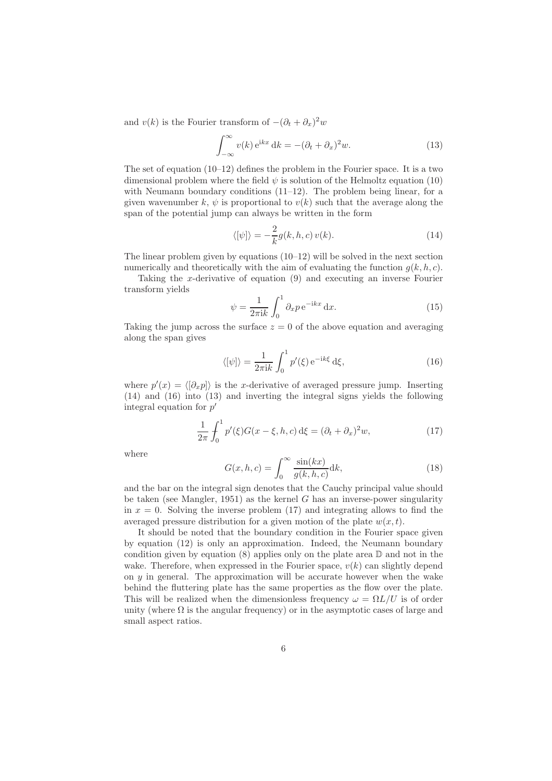and  $v(k)$  is the Fourier transform of  $-(\partial_t + \partial_x)^2 w$ 

$$
\int_{-\infty}^{\infty} v(k) e^{ikx} dk = -(\partial_t + \partial_x)^2 w.
$$
 (13)

The set of equation (10–12) defines the problem in the Fourier space. It is a two dimensional problem where the field  $\psi$  is solution of the Helmoltz equation (10) with Neumann boundary conditions (11–12). The problem being linear, for a given wavenumber k,  $\psi$  is proportional to  $v(k)$  such that the average along the span of the potential jump can always be written in the form

$$
\langle [\psi] \rangle = -\frac{2}{k} g(k, h, c) v(k). \tag{14}
$$

The linear problem given by equations (10–12) will be solved in the next section numerically and theoretically with the aim of evaluating the function  $g(k, h, c)$ .

Taking the x-derivative of equation (9) and executing an inverse Fourier transform yields

$$
\psi = \frac{1}{2\pi i k} \int_0^1 \partial_x p \, e^{-ikx} \, dx.
$$
\n(15)

Taking the jump across the surface  $z = 0$  of the above equation and averaging along the span gives

$$
\langle [\psi] \rangle = \frac{1}{2\pi i k} \int_0^1 p'(\xi) e^{-ik\xi} d\xi,
$$
\n(16)

where  $p'(x) = \langle [\partial_x p] \rangle$  is the x-derivative of averaged pressure jump. Inserting (14) and (16) into (13) and inverting the integral signs yields the following integral equation for  $p'$ 

$$
\frac{1}{2\pi} \int_0^1 p'(\xi) G(x - \xi, h, c) d\xi = (\partial_t + \partial_x)^2 w,
$$
\n(17)

where

$$
G(x, h, c) = \int_0^\infty \frac{\sin(kx)}{g(k, h, c)} dk,
$$
\n(18)

and the bar on the integral sign denotes that the Cauchy principal value should be taken (see Mangler, 1951) as the kernel  $G$  has an inverse-power singularity in  $x = 0$ . Solving the inverse problem (17) and integrating allows to find the averaged pressure distribution for a given motion of the plate  $w(x, t)$ .

It should be noted that the boundary condition in the Fourier space given by equation (12) is only an approximation. Indeed, the Neumann boundary condition given by equation (8) applies only on the plate area  $\mathbb D$  and not in the wake. Therefore, when expressed in the Fourier space,  $v(k)$  can slightly depend on  $y$  in general. The approximation will be accurate however when the wake behind the fluttering plate has the same properties as the flow over the plate. This will be realized when the dimensionless frequency  $\omega = \Omega L/U$  is of order unity (where  $\Omega$  is the angular frequency) or in the asymptotic cases of large and small aspect ratios.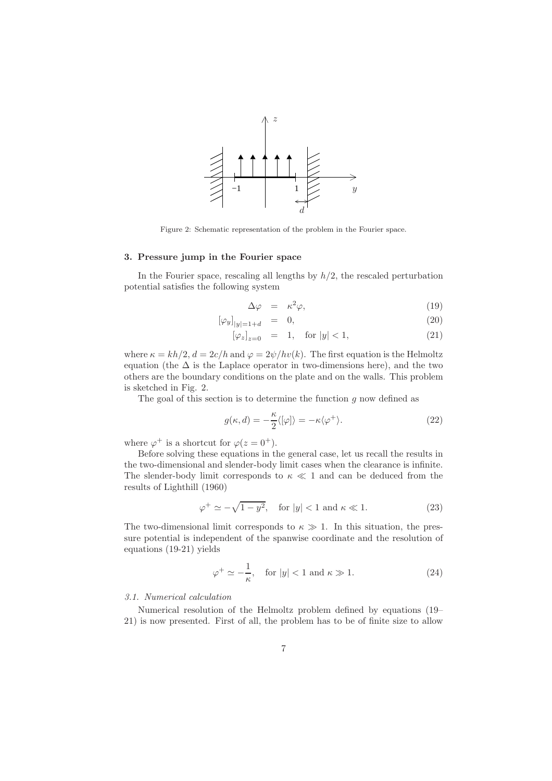

Figure 2: Schematic representation of the problem in the Fourier space.

## 3. Pressure jump in the Fourier space

In the Fourier space, rescaling all lengths by  $h/2$ , the rescaled perturbation potential satisfies the following system

$$
\Delta \varphi = \kappa^2 \varphi, \tag{19}
$$

$$
[\varphi_y]_{|y|=1+d} = 0, \tag{20}
$$

$$
[\varphi_z]_{z=0} = 1, \text{ for } |y| < 1,
$$
 (21)

where  $\kappa = kh/2$ ,  $d = 2c/h$  and  $\varphi = 2\psi/hv(k)$ . The first equation is the Helmoltz equation (the  $\Delta$  is the Laplace operator in two-dimensions here), and the two others are the boundary conditions on the plate and on the walls. This problem is sketched in Fig. 2.

The goal of this section is to determine the function  $g$  now defined as

$$
g(\kappa, d) = -\frac{\kappa}{2} \langle [\varphi] \rangle = -\kappa \langle \varphi^+ \rangle. \tag{22}
$$

where  $\varphi^+$  is a shortcut for  $\varphi(z=0^+)$ .

Before solving these equations in the general case, let us recall the results in the two-dimensional and slender-body limit cases when the clearance is infinite. The slender-body limit corresponds to  $\kappa \ll 1$  and can be deduced from the results of Lighthill (1960)

$$
\varphi^+ \simeq -\sqrt{1-y^2}, \quad \text{for } |y| < 1 \text{ and } \kappa \ll 1. \tag{23}
$$

The two-dimensional limit corresponds to  $\kappa \gg 1$ . In this situation, the pressure potential is independent of the spanwise coordinate and the resolution of equations (19-21) yields

$$
\varphi^+ \simeq -\frac{1}{\kappa}, \quad \text{for } |y| < 1 \text{ and } \kappa \gg 1. \tag{24}
$$

## *3.1. Numerical calculation*

Numerical resolution of the Helmoltz problem defined by equations (19– 21) is now presented. First of all, the problem has to be of finite size to allow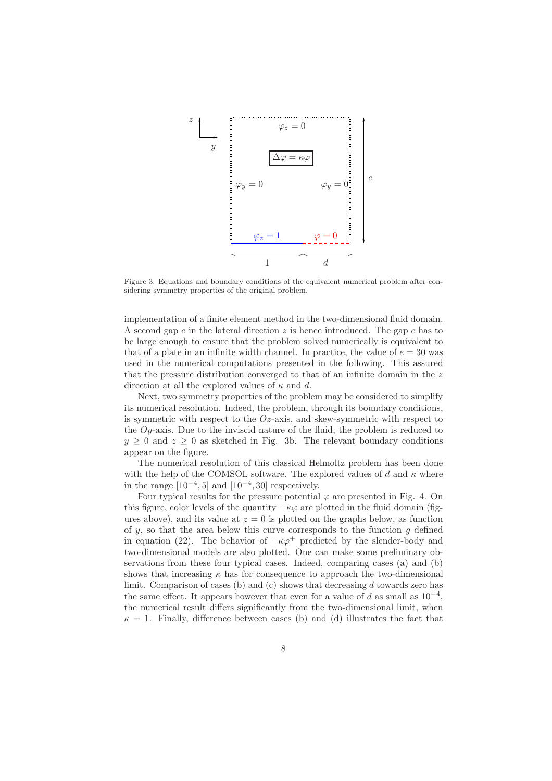

Figure 3: Equations and boundary conditions of the equivalent numerical problem after considering symmetry properties of the original problem.

implementation of a finite element method in the two-dimensional fluid domain. A second gap  $e$  in the lateral direction  $z$  is hence introduced. The gap  $e$  has to be large enough to ensure that the problem solved numerically is equivalent to that of a plate in an infinite width channel. In practice, the value of  $e = 30$  was used in the numerical computations presented in the following. This assured that the pressure distribution converged to that of an infinite domain in the z direction at all the explored values of  $\kappa$  and d.

Next, two symmetry properties of the problem may be considered to simplify its numerical resolution. Indeed, the problem, through its boundary conditions, is symmetric with respect to the  $Oz$ -axis, and skew-symmetric with respect to the Oy-axis. Due to the inviscid nature of the fluid, the problem is reduced to  $y \geq 0$  and  $z \geq 0$  as sketched in Fig. 3b. The relevant boundary conditions appear on the figure.

The numerical resolution of this classical Helmoltz problem has been done with the help of the COMSOL software. The explored values of d and  $\kappa$  where in the range  $[10^{-4}, 5]$  and  $[10^{-4}, 30]$  respectively.

Four typical results for the pressure potential  $\varphi$  are presented in Fig. 4. On this figure, color levels of the quantity  $-\kappa\varphi$  are plotted in the fluid domain (figures above), and its value at  $z = 0$  is plotted on the graphs below, as function of  $y$ , so that the area below this curve corresponds to the function  $g$  defined in equation (22). The behavior of  $-\kappa\varphi^+$  predicted by the slender-body and two-dimensional models are also plotted. One can make some preliminary observations from these four typical cases. Indeed, comparing cases (a) and (b) shows that increasing  $\kappa$  has for consequence to approach the two-dimensional limit. Comparison of cases (b) and (c) shows that decreasing  $d$  towards zero has the same effect. It appears however that even for a value of d as small as  $10^{-4}$ , the numerical result differs significantly from the two-dimensional limit, when  $\kappa = 1$ . Finally, difference between cases (b) and (d) illustrates the fact that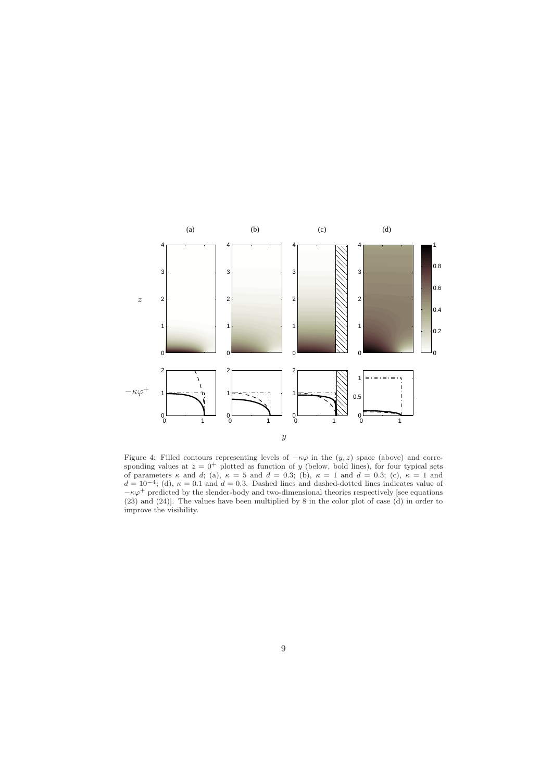

Figure 4: Filled contours representing levels of  $-\kappa\varphi$  in the  $(y, z)$  space (above) and corresponding values at  $z = 0^+$  plotted as function of y (below, bold lines), for four typical sets of parameters  $\kappa$  and d; (a),  $\kappa = 5$  and  $d = 0.3$ ; (b),  $\kappa = 1$  and  $d = 0.3$ ; (c),  $\kappa = 1$  and  $d = 10^{-4}$ ; (d),  $\kappa = 0.1$  and  $d = 0.3$ . Dashed lines and dashed-dotted lines indicates value of  $-\kappa\varphi^+$  predicted by the slender-body and two-dimensional theories respectively [see equations (23) and (24)]. The values have been multiplied by 8 in the color plot of case (d) in order to improve the visibility.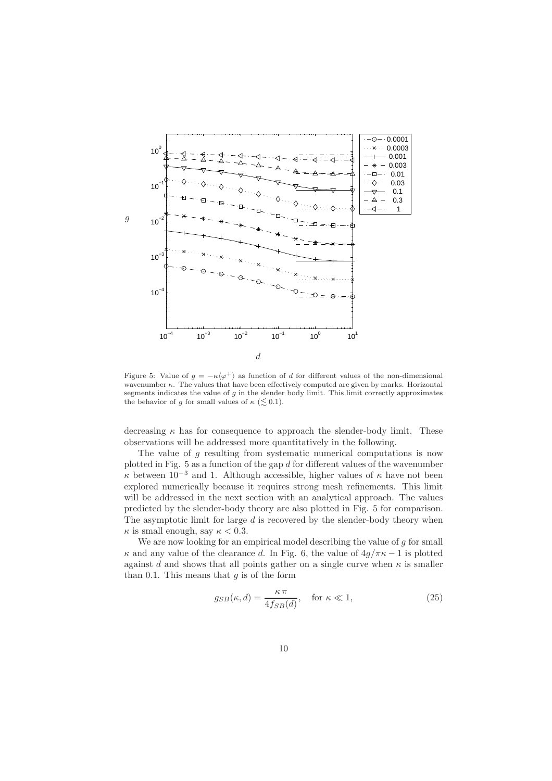

Figure 5: Value of  $g = -\kappa \langle \varphi^+ \rangle$  as function of d for different values of the non-dimensional wavenumber  $\kappa$ . The values that have been effectively computed are given by marks. Horizontal segments indicates the value of g in the slender body limit. This limit correctly approximates the behavior of g for small values of  $\kappa$  ( $\leq$  0.1).

decreasing  $\kappa$  has for consequence to approach the slender-body limit. These observations will be addressed more quantitatively in the following.

The value of g resulting from systematic numerical computations is now plotted in Fig.  $5$  as a function of the gap  $d$  for different values of the wavenumber  $\kappa$  between 10<sup>-3</sup> and 1. Although accessible, higher values of  $\kappa$  have not been explored numerically because it requires strong mesh refinements. This limit will be addressed in the next section with an analytical approach. The values predicted by the slender-body theory are also plotted in Fig. 5 for comparison. The asymptotic limit for large d is recovered by the slender-body theory when  $\kappa$  is small enough, say  $\kappa < 0.3$ .

We are now looking for an empirical model describing the value of  $g$  for small  $\kappa$  and any value of the clearance d. In Fig. 6, the value of  $4g/\pi\kappa - 1$  is plotted against d and shows that all points gather on a single curve when  $\kappa$  is smaller than 0.1. This means that  $g$  is of the form

$$
g_{SB}(\kappa, d) = \frac{\kappa \pi}{4 f_{SB}(d)}, \quad \text{for } \kappa \ll 1,
$$
 (25)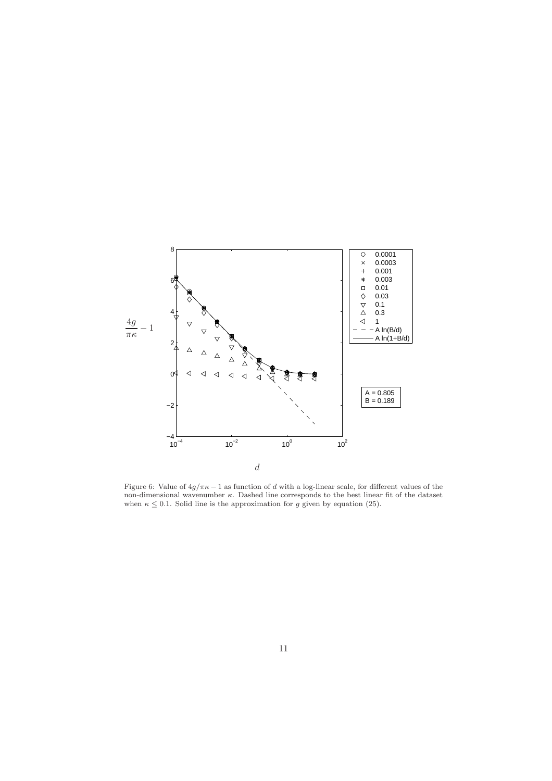

Figure 6: Value of  $4g/\pi\kappa - 1$  as function of d with a log-linear scale, for different values of the non-dimensional wavenumber  $\kappa$ . Dashed line corresponds to the best linear fit of the dataset when  $\kappa \leq 0.1$ . Solid line is the approximation for g given by equation (25).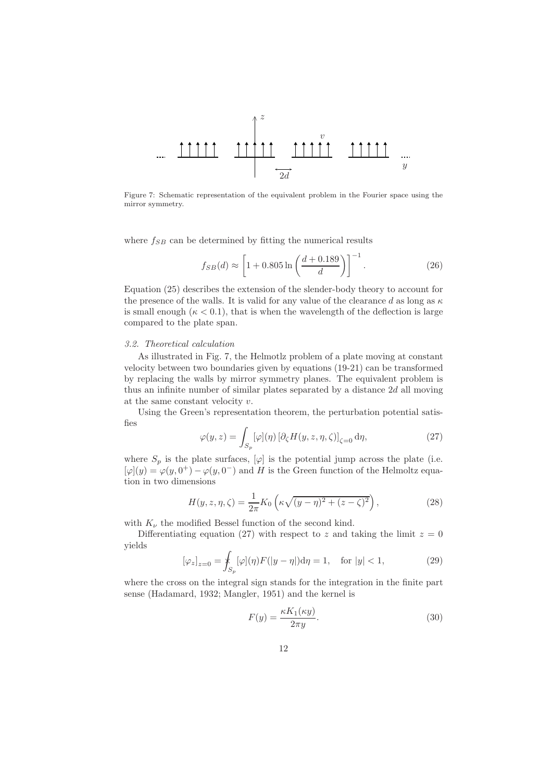

Figure 7: Schematic representation of the equivalent problem in the Fourier space using the mirror symmetry.

where  $f_{SB}$  can be determined by fitting the numerical results

$$
f_{SB}(d) \approx \left[1 + 0.805 \ln\left(\frac{d + 0.189}{d}\right)\right]^{-1}.
$$
 (26)

Equation (25) describes the extension of the slender-body theory to account for the presence of the walls. It is valid for any value of the clearance d as long as  $\kappa$ is small enough  $(\kappa < 0.1)$ , that is when the wavelength of the deflection is large compared to the plate span.

#### *3.2. Theoretical calculation*

As illustrated in Fig. 7, the Helmotlz problem of a plate moving at constant velocity between two boundaries given by equations (19-21) can be transformed by replacing the walls by mirror symmetry planes. The equivalent problem is thus an infinite number of similar plates separated by a distance 2d all moving at the same constant velocity v.

Using the Green's representation theorem, the perturbation potential satisfies

$$
\varphi(y,z) = \int_{S_p} [\varphi](\eta) \left[ \partial_{\zeta} H(y,z,\eta,\zeta) \right]_{\zeta=0} d\eta, \tag{27}
$$

where  $S_p$  is the plate surfaces,  $[\varphi]$  is the potential jump across the plate (i.e.  $[\varphi](y) = \varphi(y, 0^+) - \varphi(y, 0^-)$  and H is the Green function of the Helmoltz equation in two dimensions

$$
H(y, z, \eta, \zeta) = \frac{1}{2\pi} K_0 \left( \kappa \sqrt{(y - \eta)^2 + (z - \zeta)^2} \right),
$$
 (28)

with  $K_{\nu}$  the modified Bessel function of the second kind.

Differentiating equation (27) with respect to z and taking the limit  $z = 0$ yields

$$
[\varphi_z]_{z=0} = \oint_{S_p} [\varphi](\eta) F(|y - \eta|) d\eta = 1, \text{ for } |y| < 1,
$$
 (29)

where the cross on the integral sign stands for the integration in the finite part sense (Hadamard, 1932; Mangler, 1951) and the kernel is

$$
F(y) = \frac{\kappa K_1(\kappa y)}{2\pi y}.
$$
\n(30)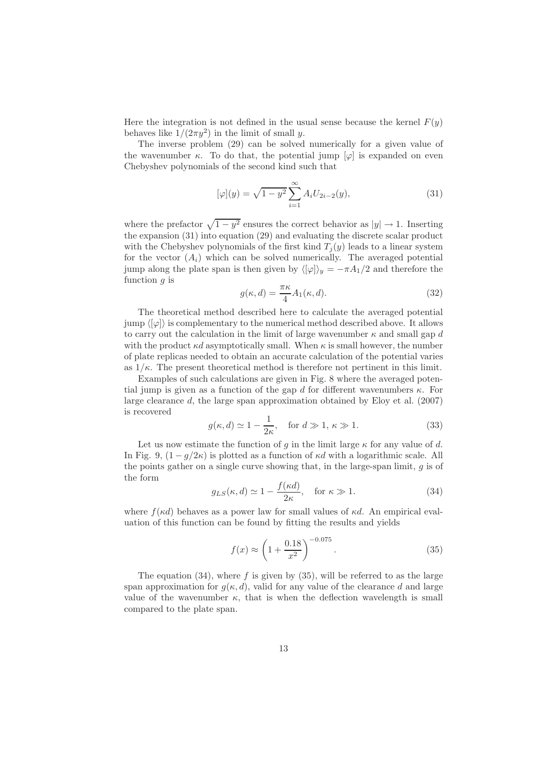Here the integration is not defined in the usual sense because the kernel  $F(y)$ behaves like  $1/(2\pi y^2)$  in the limit of small y.

The inverse problem (29) can be solved numerically for a given value of the wavenumber  $\kappa$ . To do that, the potential jump  $[\varphi]$  is expanded on even Chebyshev polynomials of the second kind such that

$$
[\varphi](y) = \sqrt{1 - y^2} \sum_{i=1}^{\infty} A_i U_{2i-2}(y),
$$
\n(31)

where the prefactor  $\sqrt{1 - y^2}$  ensures the correct behavior as  $|y| \to 1$ . Inserting the expansion (31) into equation (29) and evaluating the discrete scalar product with the Chebyshev polynomials of the first kind  $T_i(y)$  leads to a linear system for the vector  $(A_i)$  which can be solved numerically. The averaged potential jump along the plate span is then given by  $\langle [\varphi] \rangle_y = -\pi A_1/2$  and therefore the function  $q$  is

$$
g(\kappa, d) = \frac{\pi \kappa}{4} A_1(\kappa, d). \tag{32}
$$

The theoretical method described here to calculate the averaged potential jump  $\langle \varphi | \varphi \rangle$  is complementary to the numerical method described above. It allows to carry out the calculation in the limit of large wavenumber  $\kappa$  and small gap d with the product  $\kappa d$  asymptotically small. When  $\kappa$  is small however, the number of plate replicas needed to obtain an accurate calculation of the potential varies as  $1/\kappa$ . The present theoretical method is therefore not pertinent in this limit.

Examples of such calculations are given in Fig. 8 where the averaged potential jump is given as a function of the gap d for different wavenumbers  $\kappa$ . For large clearance d, the large span approximation obtained by Eloy et al. (2007) is recovered

$$
g(\kappa, d) \simeq 1 - \frac{1}{2\kappa}
$$
, for  $d \gg 1$ ,  $\kappa \gg 1$ . (33)

Let us now estimate the function of g in the limit large  $\kappa$  for any value of d. In Fig. 9,  $(1 - q/2\kappa)$  is plotted as a function of  $\kappa d$  with a logarithmic scale. All the points gather on a single curve showing that, in the large-span limit,  $q$  is of the form

$$
g_{LS}(\kappa, d) \simeq 1 - \frac{f(\kappa d)}{2\kappa}, \quad \text{for } \kappa \gg 1.
$$
 (34)

where  $f(\kappa d)$  behaves as a power law for small values of  $\kappa d$ . An empirical evaluation of this function can be found by fitting the results and yields

$$
f(x) \approx \left(1 + \frac{0.18}{x^2}\right)^{-0.075}.\tag{35}
$$

The equation  $(34)$ , where f is given by  $(35)$ , will be referred to as the large span approximation for  $g(\kappa, d)$ , valid for any value of the clearance d and large value of the wavenumber  $\kappa$ , that is when the deflection wavelength is small compared to the plate span.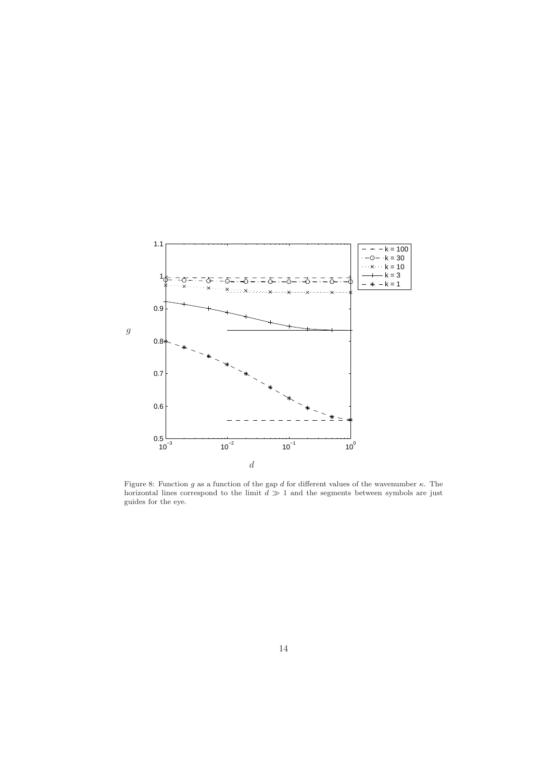

Figure 8: Function g as a function of the gap d for different values of the wavenumber  $\kappa$ . The horizontal lines correspond to the limit  $d \gg 1$  and the segments between symbols are just guides for the eye.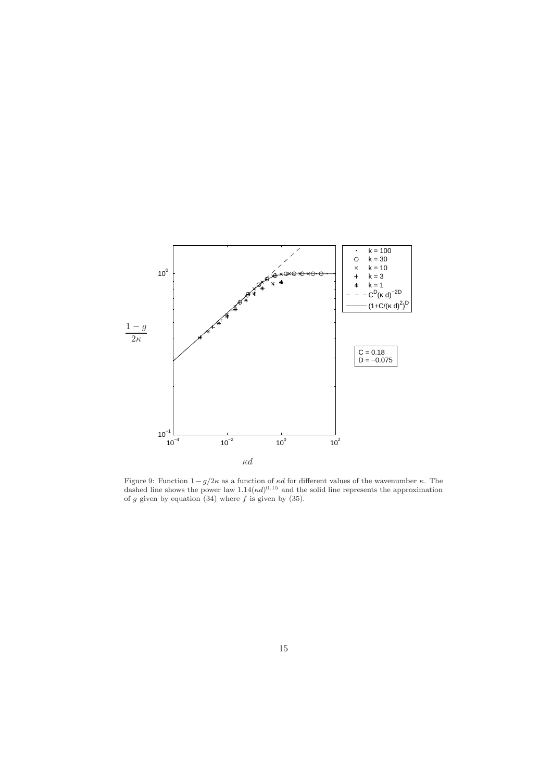

Figure 9: Function  $1 - g/2\kappa$  as a function of  $\kappa d$  for different values of the wavenumber  $\kappa$ . The dashed line shows the power law  $1.14(\kappa d)^{0.15}$  and the solid line represents the approximation of g given by equation  $(34)$  where f is given by  $(35)$ .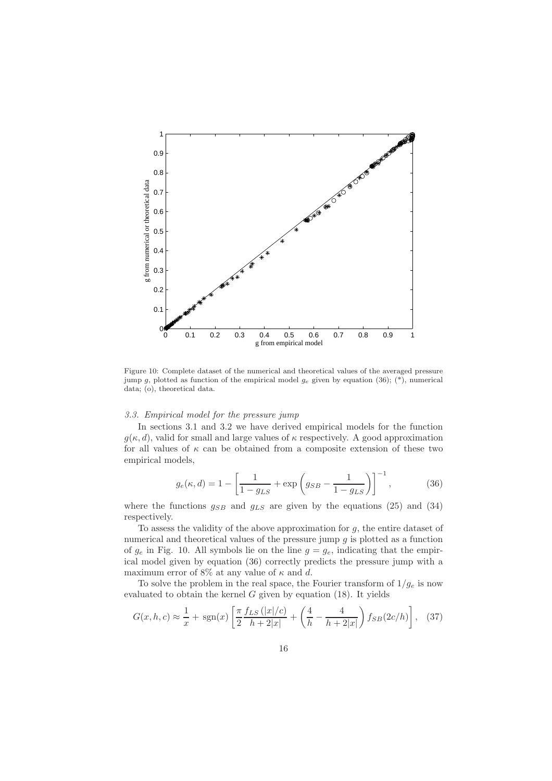

Figure 10: Complete dataset of the numerical and theoretical values of the averaged pressure jump g, plotted as function of the empirical model  $g_e$  given by equation (36); (\*), numerical data; (o), theoretical data.

## *3.3. Empirical model for the pressure jump*

In sections 3.1 and 3.2 we have derived empirical models for the function  $g(\kappa, d)$ , valid for small and large values of  $\kappa$  respectively. A good approximation for all values of  $\kappa$  can be obtained from a composite extension of these two empirical models,

$$
g_e(\kappa, d) = 1 - \left[\frac{1}{1 - g_{LS}} + \exp\left(g_{SB} - \frac{1}{1 - g_{LS}}\right)\right]^{-1},\tag{36}
$$

where the functions  $g_{SB}$  and  $g_{LS}$  are given by the equations (25) and (34) respectively.

To assess the validity of the above approximation for  $g$ , the entire dataset of numerical and theoretical values of the pressure jump  $g$  is plotted as a function of  $g_e$  in Fig. 10. All symbols lie on the line  $g = g_e$ , indicating that the empirical model given by equation (36) correctly predicts the pressure jump with a maximum error of 8% at any value of  $\kappa$  and d.

To solve the problem in the real space, the Fourier transform of  $1/g_e$  is now evaluated to obtain the kernel  $G$  given by equation (18). It yields

$$
G(x, h, c) \approx \frac{1}{x} + \text{sgn}(x) \left[ \frac{\pi f_{LS} (|x|/c)}{2 h + 2|x|} + \left( \frac{4}{h} - \frac{4}{h + 2|x|} \right) f_{SB}(2c/h) \right], \quad (37)
$$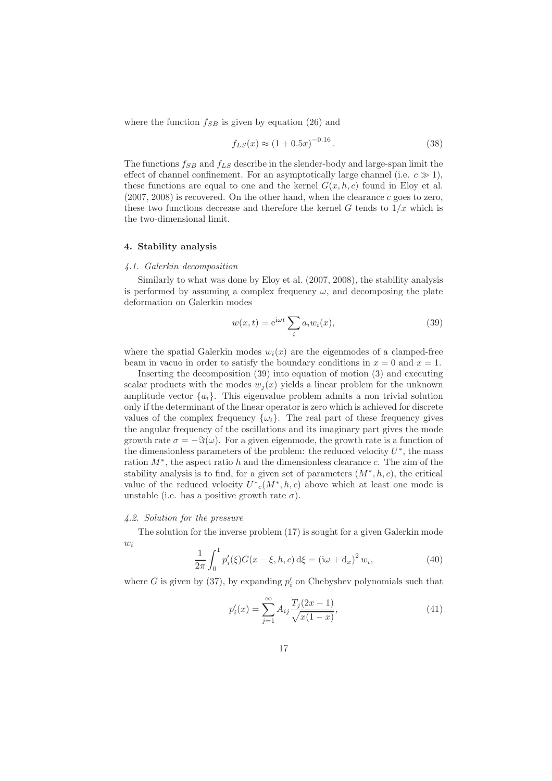where the function  $f_{SB}$  is given by equation (26) and

$$
f_{LS}(x) \approx (1 + 0.5x)^{-0.16} \,. \tag{38}
$$

The functions  $f_{SB}$  and  $f_{LS}$  describe in the slender-body and large-span limit the effect of channel confinement. For an asymptotically large channel (i.e.  $c \gg 1$ ), these functions are equal to one and the kernel  $G(x, h, c)$  found in Eloy et al.  $(2007, 2008)$  is recovered. On the other hand, when the clearance c goes to zero, these two functions decrease and therefore the kernel  $G$  tends to  $1/x$  which is the two-dimensional limit.

#### 4. Stability analysis

#### *4.1. Galerkin decomposition*

Similarly to what was done by Eloy et al. (2007, 2008), the stability analysis is performed by assuming a complex frequency  $\omega$ , and decomposing the plate deformation on Galerkin modes

$$
w(x,t) = e^{i\omega t} \sum_{i} a_i w_i(x), \qquad (39)
$$

where the spatial Galerkin modes  $w_i(x)$  are the eigenmodes of a clamped-free beam in vacuo in order to satisfy the boundary conditions in  $x = 0$  and  $x = 1$ .

Inserting the decomposition (39) into equation of motion (3) and executing scalar products with the modes  $w_i(x)$  yields a linear problem for the unknown amplitude vector  $\{a_i\}$ . This eigenvalue problem admits a non trivial solution only if the determinant of the linear operator is zero which is achieved for discrete values of the complex frequency  $\{\omega_i\}$ . The real part of these frequency gives the angular frequency of the oscillations and its imaginary part gives the mode growth rate  $\sigma = -\Im(\omega)$ . For a given eigenmode, the growth rate is a function of the dimensionless parameters of the problem: the reduced velocity  $U^*$ , the mass ration M<sup>∗</sup> , the aspect ratio h and the dimensionless clearance c. The aim of the stability analysis is to find, for a given set of parameters  $(M^*, h, c)$ , the critical value of the reduced velocity  $U^*_{c}(M^*,h,c)$  above which at least one mode is unstable (i.e. has a positive growth rate  $\sigma$ ).

## *4.2. Solution for the pressure*

The solution for the inverse problem (17) is sought for a given Galerkin mode  $w_i$ 

$$
\frac{1}{2\pi} \int_0^1 p_i'(\xi) G(x - \xi, h, c) \,d\xi = \left(i\omega + d_x\right)^2 w_i,\tag{40}
$$

where G is given by (37), by expanding  $p'_i$  on Chebyshev polynomials such that

$$
p_i'(x) = \sum_{j=1}^{\infty} A_{ij} \frac{T_j(2x-1)}{\sqrt{x(1-x)}},\tag{41}
$$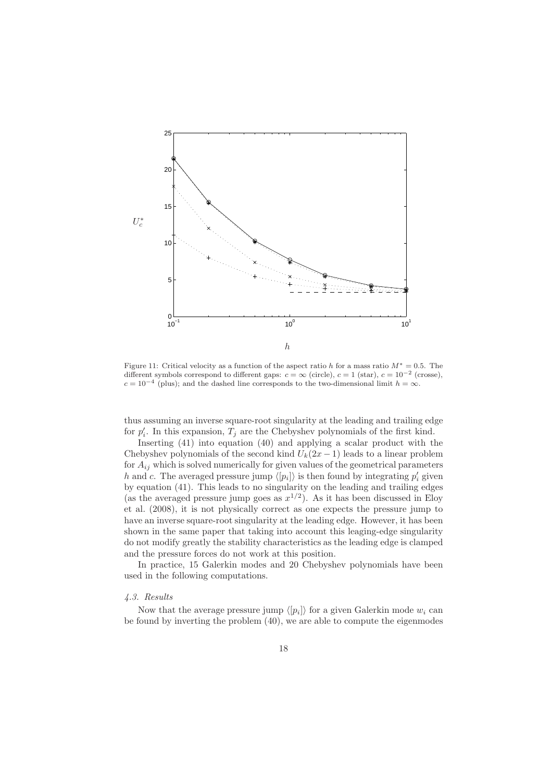

Figure 11: Critical velocity as a function of the aspect ratio h for a mass ratio  $M^* = 0.5$ . The different symbols correspond to different gaps:  $c = \infty$  (circle),  $c = 1$  (star),  $c = 10^{-2}$  (crosse),  $c = 10^{-4}$  (plus); and the dashed line corresponds to the two-dimensional limit  $h = \infty$ .

thus assuming an inverse square-root singularity at the leading and trailing edge for  $p'_i$ . In this expansion,  $T_j$  are the Chebyshev polynomials of the first kind.

Inserting (41) into equation (40) and applying a scalar product with the Chebyshev polynomials of the second kind  $U_k(2x-1)$  leads to a linear problem for  $A_{ij}$  which is solved numerically for given values of the geometrical parameters h and c. The averaged pressure jump  $\langle p_i \rangle$  is then found by integrating  $p'_i$  given by equation (41). This leads to no singularity on the leading and trailing edges (as the averaged pressure jump goes as  $x^{1/2}$ ). As it has been discussed in Eloy et al. (2008), it is not physically correct as one expects the pressure jump to have an inverse square-root singularity at the leading edge. However, it has been shown in the same paper that taking into account this leaging-edge singularity do not modify greatly the stability characteristics as the leading edge is clamped and the pressure forces do not work at this position.

In practice, 15 Galerkin modes and 20 Chebyshev polynomials have been used in the following computations.

#### *4.3. Results*

Now that the average pressure jump  $\langle p_i \rangle$  for a given Galerkin mode  $w_i$  can be found by inverting the problem (40), we are able to compute the eigenmodes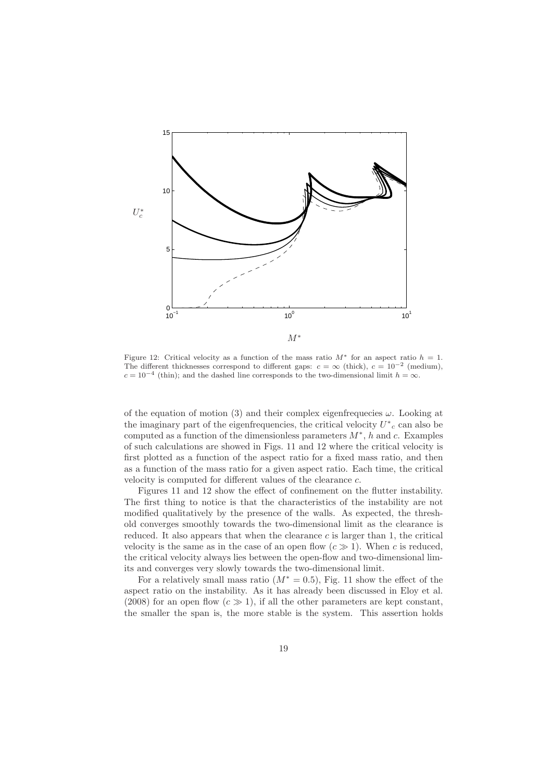

Figure 12: Critical velocity as a function of the mass ratio  $M^*$  for an aspect ratio  $h = 1$ . The different thicknesses correspond to different gaps:  $c = \infty$  (thick),  $c = 10^{-2}$  (medium),  $c = 10^{-4}$  (thin); and the dashed line corresponds to the two-dimensional limit  $h = \infty$ .

of the equation of motion (3) and their complex eigenfrequecies  $\omega$ . Looking at the imaginary part of the eigenfrequencies, the critical velocity  $U^*{}_c$  can also be computed as a function of the dimensionless parameters  $M^*$ , h and c. Examples of such calculations are showed in Figs. 11 and 12 where the critical velocity is first plotted as a function of the aspect ratio for a fixed mass ratio, and then as a function of the mass ratio for a given aspect ratio. Each time, the critical velocity is computed for different values of the clearance c.

Figures 11 and 12 show the effect of confinement on the flutter instability. The first thing to notice is that the characteristics of the instability are not modified qualitatively by the presence of the walls. As expected, the threshold converges smoothly towards the two-dimensional limit as the clearance is reduced. It also appears that when the clearance  $c$  is larger than 1, the critical velocity is the same as in the case of an open flow  $(c \gg 1)$ . When c is reduced, the critical velocity always lies between the open-flow and two-dimensional limits and converges very slowly towards the two-dimensional limit.

For a relatively small mass ratio  $(M^* = 0.5)$ , Fig. 11 show the effect of the aspect ratio on the instability. As it has already been discussed in Eloy et al. (2008) for an open flow  $(c \gg 1)$ , if all the other parameters are kept constant, the smaller the span is, the more stable is the system. This assertion holds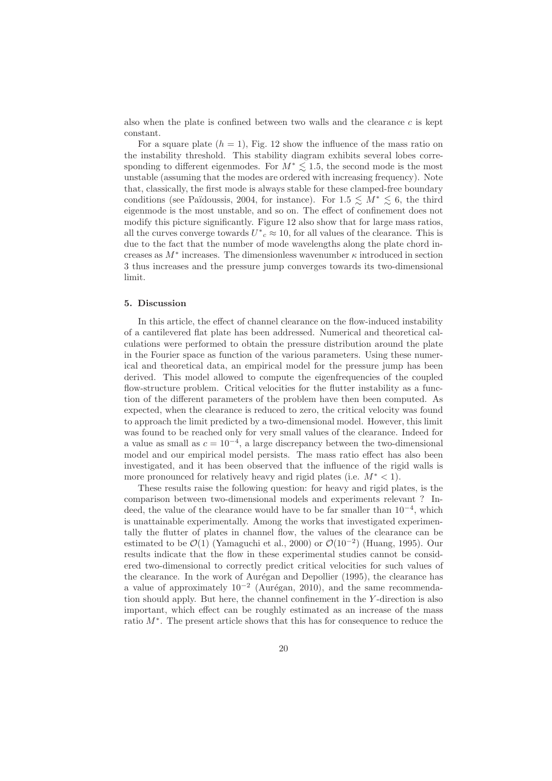also when the plate is confined between two walls and the clearance  $c$  is kept constant.

For a square plate  $(h = 1)$ , Fig. 12 show the influence of the mass ratio on the instability threshold. This stability diagram exhibits several lobes corresponding to different eigenmodes. For  $M^* \lesssim 1.5$ , the second mode is the most unstable (assuming that the modes are ordered with increasing frequency). Note that, classically, the first mode is always stable for these clamped-free boundary conditions (see Païdoussis, 2004, for instance). For  $1.5 \leq M^* \leq 6$ , the third eigenmode is the most unstable, and so on. The effect of confinement does not modify this picture significantly. Figure 12 also show that for large mass ratios, all the curves converge towards  $U^*_{c} \approx 10$ , for all values of the clearance. This is due to the fact that the number of mode wavelengths along the plate chord increases as  $M^*$  increases. The dimensionless wavenumber  $\kappa$  introduced in section 3 thus increases and the pressure jump converges towards its two-dimensional limit.

#### 5. Discussion

In this article, the effect of channel clearance on the flow-induced instability of a cantilevered flat plate has been addressed. Numerical and theoretical calculations were performed to obtain the pressure distribution around the plate in the Fourier space as function of the various parameters. Using these numerical and theoretical data, an empirical model for the pressure jump has been derived. This model allowed to compute the eigenfrequencies of the coupled flow-structure problem. Critical velocities for the flutter instability as a function of the different parameters of the problem have then been computed. As expected, when the clearance is reduced to zero, the critical velocity was found to approach the limit predicted by a two-dimensional model. However, this limit was found to be reached only for very small values of the clearance. Indeed for a value as small as  $c = 10^{-4}$ , a large discrepancy between the two-dimensional model and our empirical model persists. The mass ratio effect has also been investigated, and it has been observed that the influence of the rigid walls is more pronounced for relatively heavy and rigid plates (i.e.  $M^*$  < 1).

These results raise the following question: for heavy and rigid plates, is the comparison between two-dimensional models and experiments relevant ? Indeed, the value of the clearance would have to be far smaller than 10<sup>−</sup><sup>4</sup> , which is unattainable experimentally. Among the works that investigated experimentally the flutter of plates in channel flow, the values of the clearance can be estimated to be  $\mathcal{O}(1)$  (Yamaguchi et al., 2000) or  $\mathcal{O}(10^{-2})$  (Huang, 1995). Our results indicate that the flow in these experimental studies cannot be considered two-dimensional to correctly predict critical velocities for such values of the clearance. In the work of Aurégan and Depollier (1995), the clearance has a value of approximately  $10^{-2}$  (Aurégan, 2010), and the same recommendation should apply. But here, the channel confinement in the Y -direction is also important, which effect can be roughly estimated as an increase of the mass ratio M<sup>∗</sup> . The present article shows that this has for consequence to reduce the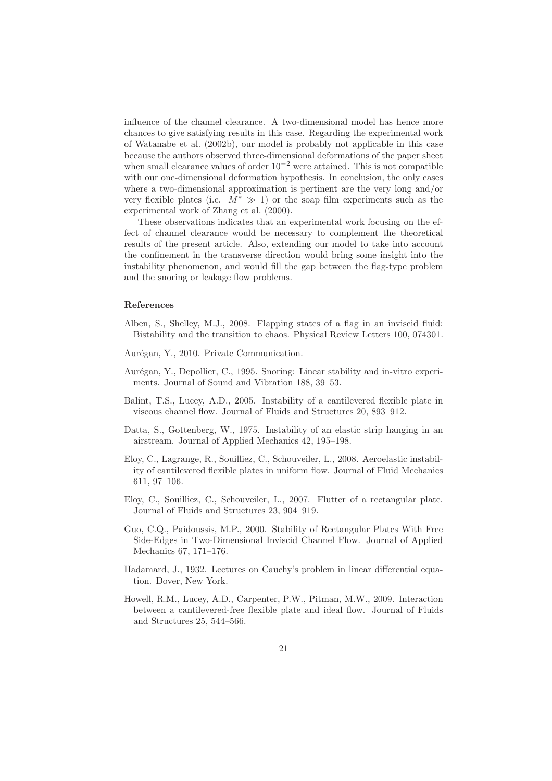influence of the channel clearance. A two-dimensional model has hence more chances to give satisfying results in this case. Regarding the experimental work of Watanabe et al. (2002b), our model is probably not applicable in this case because the authors observed three-dimensional deformations of the paper sheet when small clearance values of order  $10^{-2}$  were attained. This is not compatible with our one-dimensional deformation hypothesis. In conclusion, the only cases where a two-dimensional approximation is pertinent are the very long and/or very flexible plates (i.e.  $M^* \gg 1$ ) or the soap film experiments such as the experimental work of Zhang et al. (2000).

These observations indicates that an experimental work focusing on the effect of channel clearance would be necessary to complement the theoretical results of the present article. Also, extending our model to take into account the confinement in the transverse direction would bring some insight into the instability phenomenon, and would fill the gap between the flag-type problem and the snoring or leakage flow problems.

## References

- Alben, S., Shelley, M.J., 2008. Flapping states of a flag in an inviscid fluid: Bistability and the transition to chaos. Physical Review Letters 100, 074301.
- Aurégan, Y., 2010. Private Communication.
- Aur´egan, Y., Depollier, C., 1995. Snoring: Linear stability and in-vitro experiments. Journal of Sound and Vibration 188, 39–53.
- Balint, T.S., Lucey, A.D., 2005. Instability of a cantilevered flexible plate in viscous channel flow. Journal of Fluids and Structures 20, 893–912.
- Datta, S., Gottenberg, W., 1975. Instability of an elastic strip hanging in an airstream. Journal of Applied Mechanics 42, 195–198.
- Eloy, C., Lagrange, R., Souilliez, C., Schouveiler, L., 2008. Aeroelastic instability of cantilevered flexible plates in uniform flow. Journal of Fluid Mechanics 611, 97–106.
- Eloy, C., Souilliez, C., Schouveiler, L., 2007. Flutter of a rectangular plate. Journal of Fluids and Structures 23, 904–919.
- Guo, C.Q., Paidoussis, M.P., 2000. Stability of Rectangular Plates With Free Side-Edges in Two-Dimensional Inviscid Channel Flow. Journal of Applied Mechanics 67, 171–176.
- Hadamard, J., 1932. Lectures on Cauchy's problem in linear differential equation. Dover, New York.
- Howell, R.M., Lucey, A.D., Carpenter, P.W., Pitman, M.W., 2009. Interaction between a cantilevered-free flexible plate and ideal flow. Journal of Fluids and Structures 25, 544–566.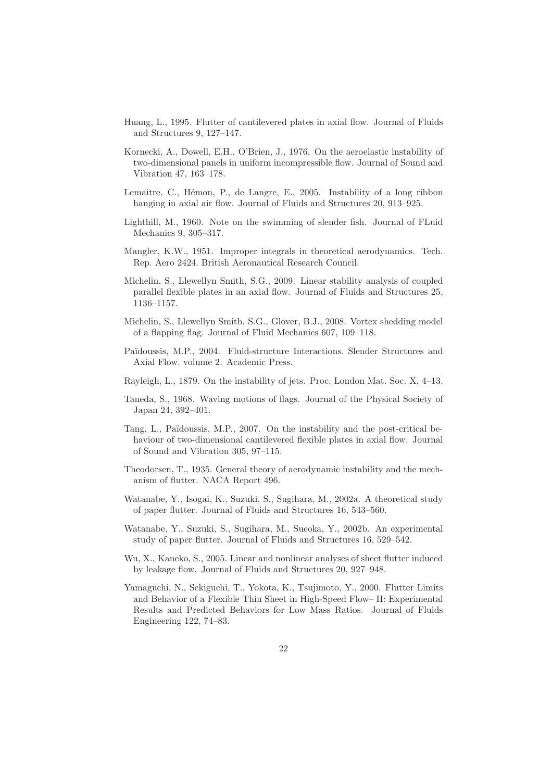- Huang, L., 1995. Flutter of cantilevered plates in axial flow. Journal of Fluids and Structures 9, 127–147.
- Kornecki, A., Dowell, E.H., O'Brien, J., 1976. On the aeroelastic instability of two-dimensional panels in uniform incompressible flow. Journal of Sound and Vibration 47, 163–178.
- Lemaitre, C., Hémon, P., de Langre, E., 2005. Instability of a long ribbon hanging in axial air flow. Journal of Fluids and Structures 20, 913–925.
- Lighthill, M., 1960. Note on the swimming of slender fish. Journal of FLuid Mechanics 9, 305–317.
- Mangler, K.W., 1951. Improper integrals in theoretical aerodynamics. Tech. Rep. Aero 2424. British Aeronautical Research Council.
- Michelin, S., Llewellyn Smith, S.G., 2009. Linear stability analysis of coupled parallel flexible plates in an axial flow. Journal of Fluids and Structures 25, 1136–1157.
- Michelin, S., Llewellyn Smith, S.G., Glover, B.J., 2008. Vortex shedding model of a flapping flag. Journal of Fluid Mechanics 607, 109–118.
- Pa¨ıdoussis, M.P., 2004. Fluid-structure Interactions. Slender Structures and Axial Flow. volume 2. Academic Press.
- Rayleigh, L., 1879. On the instability of jets. Proc. London Mat. Soc. X, 4–13.
- Taneda, S., 1968. Waving motions of flags. Journal of the Physical Society of Japan 24, 392–401.
- Tang, L., Païdoussis, M.P., 2007. On the instability and the post-critical behaviour of two-dimensional cantilevered flexible plates in axial flow. Journal of Sound and Vibration 305, 97–115.
- Theodorsen, T., 1935. General theory of aerodynamic instability and the mechanism of flutter. NACA Report 496.
- Watanabe, Y., Isogai, K., Suzuki, S., Sugihara, M., 2002a. A theoretical study of paper flutter. Journal of Fluids and Structures 16, 543–560.
- Watanabe, Y., Suzuki, S., Sugihara, M., Sueoka, Y., 2002b. An experimental study of paper flutter. Journal of Fluids and Structures 16, 529–542.
- Wu, X., Kaneko, S., 2005. Linear and nonlinear analyses of sheet flutter induced by leakage flow. Journal of Fluids and Structures 20, 927–948.
- Yamaguchi, N., Sekiguchi, T., Yokota, K., Tsujimoto, Y., 2000. Flutter Limits and Behavior of a Flexible Thin Sheet in High-Speed Flow– II: Experimental Results and Predicted Behaviors for Low Mass Ratios. Journal of Fluids Engineering 122, 74–83.